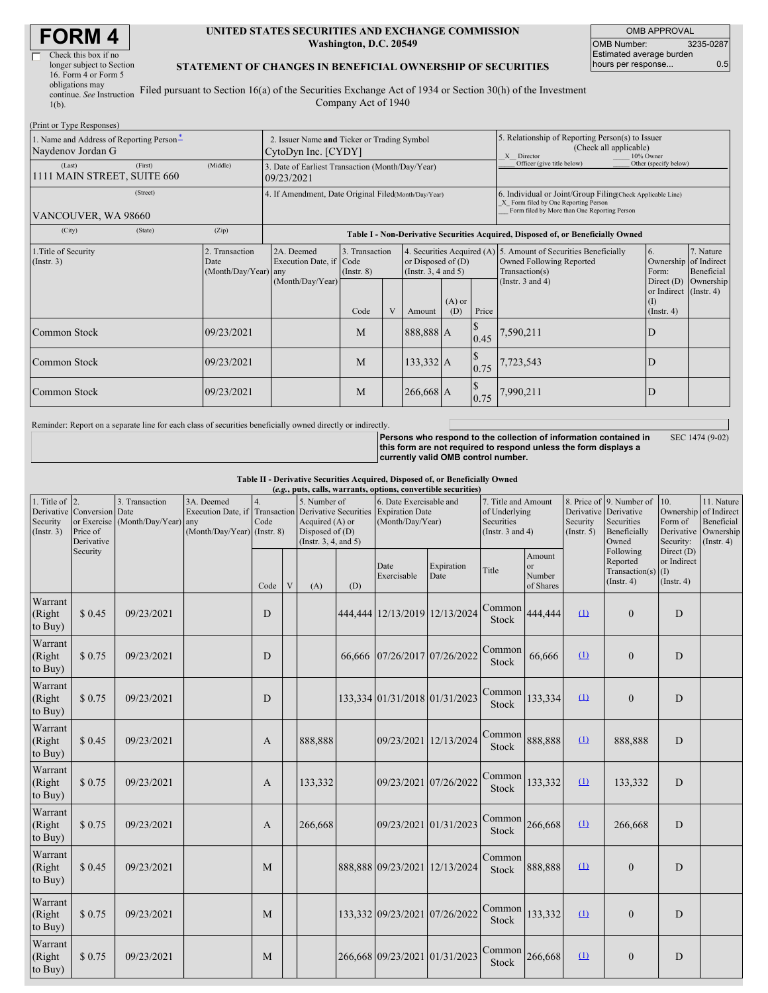| <b>FORM4</b> |
|--------------|
|--------------|

| Check this box if no      |  |
|---------------------------|--|
| longer subject to Section |  |
| 16. Form 4 or Form 5      |  |
| obligations may           |  |
| continue. See Instruction |  |
| $1(b)$ .                  |  |

#### **UNITED STATES SECURITIES AND EXCHANGE COMMISSION Washington, D.C. 20549**

OMB APPROVAL OMB Number: 3235-0287 Estimated average burden hours per response... 0.5

### **STATEMENT OF CHANGES IN BENEFICIAL OWNERSHIP OF SECURITIES**

Filed pursuant to Section 16(a) of the Securities Exchange Act of 1934 or Section 30(h) of the Investment Company Act of 1940

| (Print or Type Responses)                                     |          |                                                                    |                                                                |                                           |  |                                                       |                                                                                                       |                                   |                                                                                                                                                    |                                                                             |                                                                          |  |  |
|---------------------------------------------------------------|----------|--------------------------------------------------------------------|----------------------------------------------------------------|-------------------------------------------|--|-------------------------------------------------------|-------------------------------------------------------------------------------------------------------|-----------------------------------|----------------------------------------------------------------------------------------------------------------------------------------------------|-----------------------------------------------------------------------------|--------------------------------------------------------------------------|--|--|
| 1. Name and Address of Reporting Person-<br>Naydenov Jordan G |          | 2. Issuer Name and Ticker or Trading Symbol<br>CytoDyn Inc. [CYDY] |                                                                |                                           |  |                                                       | 5. Relationship of Reporting Person(s) to Issuer<br>(Check all applicable)<br>X Director<br>10% Owner |                                   |                                                                                                                                                    |                                                                             |                                                                          |  |  |
| (Last)<br>1111 MAIN STREET, SUITE 660                         | (First)  | (Middle)                                                           | 3. Date of Earliest Transaction (Month/Day/Year)<br>09/23/2021 |                                           |  |                                                       |                                                                                                       |                                   | Officer (give title below)                                                                                                                         | Other (specify below)                                                       |                                                                          |  |  |
| VANCOUVER, WA 98660                                           | (Street) |                                                                    | 4. If Amendment, Date Original Filed(Month/Day/Year)           |                                           |  |                                                       |                                                                                                       |                                   | 6. Individual or Joint/Group Filing Check Applicable Line)<br>X Form filed by One Reporting Person<br>Form filed by More than One Reporting Person |                                                                             |                                                                          |  |  |
| (City)                                                        | (State)  | (Zip)                                                              |                                                                |                                           |  |                                                       |                                                                                                       |                                   | Table I - Non-Derivative Securities Acquired, Disposed of, or Beneficially Owned                                                                   |                                                                             |                                                                          |  |  |
| 1. Title of Security<br>$($ Instr. 3 $)$                      |          | 2. Transaction<br>Date<br>(Month/Day/Year) any                     | 2A. Deemed<br>Execution Date, if Code<br>(Month/Day/Year)      | 3. Transaction<br>$($ Instr. $8)$<br>Code |  | or Disposed of $(D)$<br>(Instr. 3, 4 and 5)<br>Amount | $(A)$ or<br>(D)                                                                                       | Price                             | 4. Securities Acquired (A) 5. Amount of Securities Beneficially<br>Owned Following Reported<br>Transaction(s)<br>(Instr. $3$ and $4$ )             | <sup>6.</sup><br>Form:<br>or Indirect (Instr. 4)<br>(I)<br>$($ Instr. 4 $)$ | 7. Nature<br>Ownership of Indirect<br>Beneficial<br>Direct (D) Ownership |  |  |
| Common Stock                                                  |          | 09/23/2021                                                         |                                                                | M                                         |  | 888,888 A                                             |                                                                                                       | $\sqrt{3}$<br>0.45                | 1,590,211                                                                                                                                          | D                                                                           |                                                                          |  |  |
| Common Stock                                                  |          | 09/23/2021                                                         |                                                                | M                                         |  | 133,332 A                                             |                                                                                                       | $\boldsymbol{\mathsf{S}}$<br>0.75 | 7,723,543                                                                                                                                          | D                                                                           |                                                                          |  |  |
| Common Stock                                                  |          | 09/23/2021                                                         |                                                                | M                                         |  | 266,668 A                                             |                                                                                                       | $\boldsymbol{\mathsf{S}}$<br>0.75 | 7,990,211                                                                                                                                          | D                                                                           |                                                                          |  |  |

Reminder: Report on a separate line for each class of securities beneficially owned directly or indirectly.

**Persons who respond to the collection of information contained in this form are not required to respond unless the form displays a currently valid OMB control number.** SEC 1474 (9-02)

**Table II - Derivative Securities Acquired, Disposed of, or Beneficially Owned**

| (e.g., puts, calls, warrants, options, convertible securities) |                        |                                                                                          |                                                  |            |   |                                                                                                                                    |     |                                                                       |                    |                                                                             |                                                |                         |                                                                                          |                                               |                                                                                |
|----------------------------------------------------------------|------------------------|------------------------------------------------------------------------------------------|--------------------------------------------------|------------|---|------------------------------------------------------------------------------------------------------------------------------------|-----|-----------------------------------------------------------------------|--------------------|-----------------------------------------------------------------------------|------------------------------------------------|-------------------------|------------------------------------------------------------------------------------------|-----------------------------------------------|--------------------------------------------------------------------------------|
| 1. Title of $ 2$ .<br>Security<br>(Insert. 3)                  | Price of<br>Derivative | 3. Transaction<br>Derivative Conversion Date<br>or Exercise (Month/Day/Year)<br>Security | 3A. Deemed<br>any<br>(Month/Day/Year) (Instr. 8) | 4.<br>Code |   | 5. Number of<br>Execution Date, if Transaction Derivative Securities<br>Acquired (A) or<br>Disposed of (D)<br>(Instr. 3, 4, and 5) |     | 6. Date Exercisable and<br><b>Expiration Date</b><br>(Month/Day/Year) |                    | 7. Title and Amount<br>of Underlying<br>Securities<br>(Instr. $3$ and $4$ ) |                                                | Security<br>(Insert. 5) | 8. Price of 9. Number of<br>Derivative Derivative<br>Securities<br>Beneficially<br>Owned | 10.<br>Ownership<br>Form of<br>Security:      | 11. Nature<br>of Indirect<br>Beneficial<br>Derivative Ownership<br>(Insert. 4) |
|                                                                |                        |                                                                                          |                                                  | Code       | V | (A)                                                                                                                                | (D) | Date<br>Exercisable                                                   | Expiration<br>Date | Title                                                                       | Amount<br><sub>or</sub><br>Number<br>of Shares |                         | Following<br>Reported<br>Transaction(s) $(I)$<br>$($ Instr. 4 $)$                        | Direct (D)<br>or Indirect<br>$($ Instr. 4 $)$ |                                                                                |
| Warrant<br>(Right<br>to Buy)                                   | \$0.45                 | 09/23/2021                                                                               |                                                  | D          |   |                                                                                                                                    |     | 444,444 12/13/2019 12/13/2024                                         |                    | Common<br>Stock                                                             | 444,444                                        | $\Omega$                | $\theta$                                                                                 | D                                             |                                                                                |
| Warrant<br>(Right)<br>to Buy)                                  | \$0.75                 | 09/23/2021                                                                               |                                                  | D          |   |                                                                                                                                    |     | 66,666 07/26/2017 07/26/2022                                          |                    | Common<br>Stock                                                             | 66,666                                         | $\Omega$                | $\mathbf{0}$                                                                             | D                                             |                                                                                |
| Warrant<br>(Right)<br>to Buy)                                  | \$0.75                 | 09/23/2021                                                                               |                                                  | D          |   |                                                                                                                                    |     | 133,334 01/31/2018 01/31/2023                                         |                    | Common<br>Stock                                                             | 133,334                                        | $\Omega$                | $\mathbf{0}$                                                                             | D                                             |                                                                                |
| Warrant<br>(Right<br>to Buy)                                   | \$0.45                 | 09/23/2021                                                                               |                                                  | A          |   | 888,888                                                                                                                            |     | 09/23/2021 12/13/2024                                                 |                    | Common<br>Stock                                                             | 888,888                                        | $\Omega$                | 888,888                                                                                  | D                                             |                                                                                |
| Warrant<br>(Right<br>to Buy)                                   | \$0.75                 | 09/23/2021                                                                               |                                                  | A          |   | 133,332                                                                                                                            |     | 09/23/2021 07/26/2022                                                 |                    | Common<br>Stock                                                             | 133,332                                        | $\Omega$                | 133,332                                                                                  | D                                             |                                                                                |
| Warrant<br>(Right<br>to Buy)                                   | \$0.75                 | 09/23/2021                                                                               |                                                  | A          |   | 266,668                                                                                                                            |     | 09/23/2021 01/31/2023                                                 |                    | Common<br>Stock                                                             | 266,668                                        | $\Omega$                | 266,668                                                                                  | D                                             |                                                                                |
| Warrant<br>(Right<br>to Buy)                                   | \$0.45                 | 09/23/2021                                                                               |                                                  | M          |   |                                                                                                                                    |     | 888,888 09/23/2021                                                    | 12/13/2024         | Common<br>Stock                                                             | 888,888                                        | $\Omega$                | $\overline{0}$                                                                           | $\mathbf D$                                   |                                                                                |
| Warrant<br>(Right<br>to Buy)                                   | \$0.75                 | 09/23/2021                                                                               |                                                  | M          |   |                                                                                                                                    |     | 133,332 09/23/2021 07/26/2022                                         |                    | Common<br>Stock                                                             | 133,332                                        | $\Omega$                | $\overline{0}$                                                                           | D                                             |                                                                                |
| Warrant<br>(Right<br>to Buy)                                   | \$0.75                 | 09/23/2021                                                                               |                                                  | M          |   |                                                                                                                                    |     | 266,668 09/23/2021 01/31/2023                                         |                    | Common<br>Stock                                                             | 266,668                                        | (1)                     | $\overline{0}$                                                                           | D                                             |                                                                                |